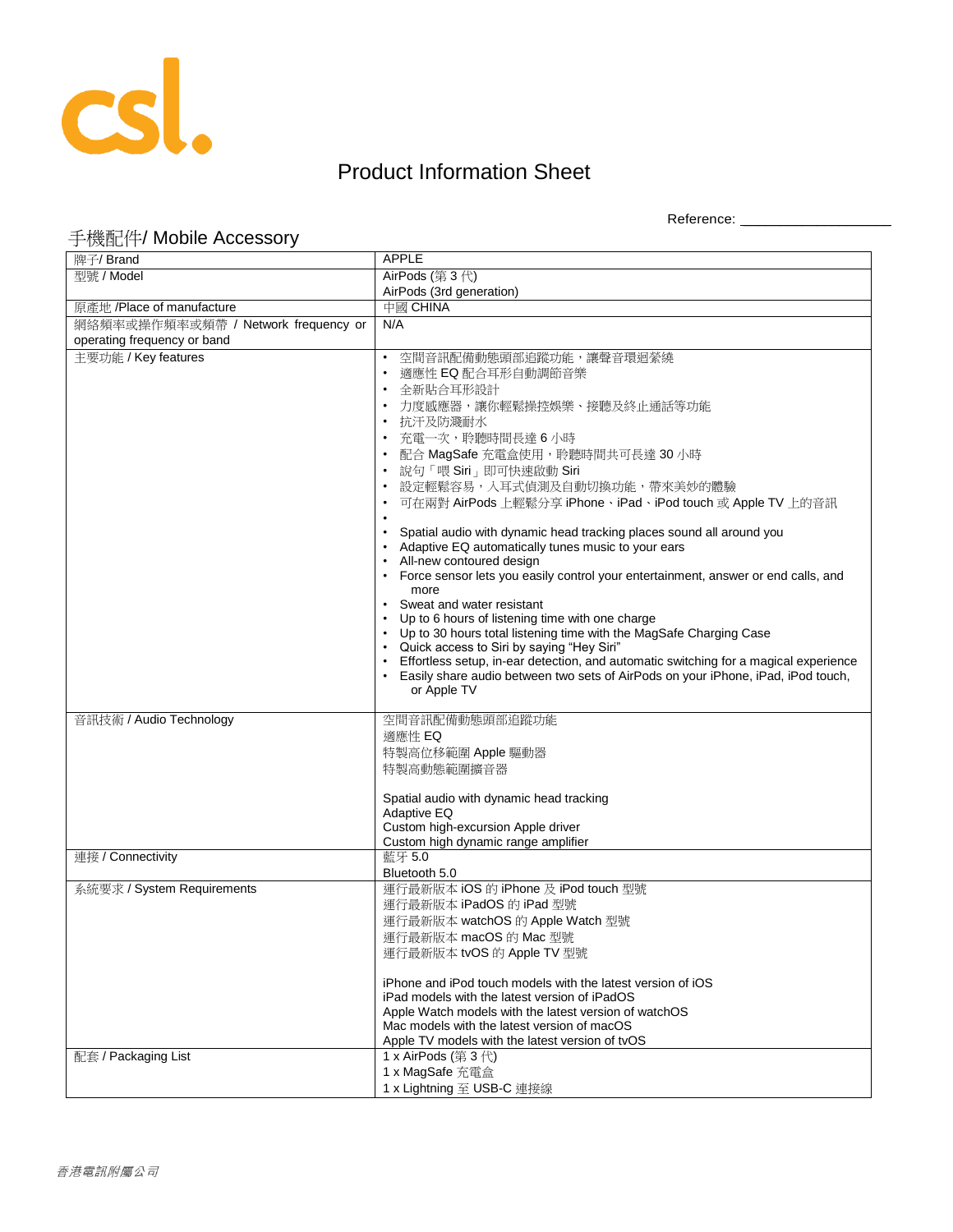

## Product Information Sheet

Reference: \_\_\_\_\_\_\_\_\_\_\_\_\_\_\_\_\_\_\_\_

## 手機配件/ Mobile Accessory

| 牌子/ Brand                           | <b>APPLE</b>                                                                                                                                                             |
|-------------------------------------|--------------------------------------------------------------------------------------------------------------------------------------------------------------------------|
| 型號 / Model                          | AirPods (第3代)                                                                                                                                                            |
|                                     | AirPods (3rd generation)                                                                                                                                                 |
| 原產地 /Place of manufacture           | 中國 CHINA                                                                                                                                                                 |
| 網絡頻率或操作頻率或頻帶 / Network frequency or | N/A                                                                                                                                                                      |
| operating frequency or band         |                                                                                                                                                                          |
| 主要功能 / Key features                 | 空間音訊配備動態頭部追蹤功能,讓聲音環迴縈繞<br>適應性 EQ 配合耳形自動調節音樂<br>全新貼合耳形設計<br>力度感應器,讓你輕鬆操控娛樂、接聽及終止通話等功能                                                                                     |
|                                     | • 抗汗及防濺耐水<br>充電一次,聆聽時間長達 6 小時                                                                                                                                            |
|                                     | 配合 MagSafe 充電盒使用,聆聽時間共可長達 30 小時<br>說句「喂 Siri」即可快速啟動 Siri<br>$\bullet$                                                                                                    |
|                                     | 設定輕鬆容易,入耳式偵測及自動切換功能,帶來美妙的體驗                                                                                                                                              |
|                                     | 可在兩對 AirPods 上輕鬆分享 iPhone、iPad、iPod touch 或 Apple TV 上的音訊                                                                                                                |
|                                     |                                                                                                                                                                          |
|                                     | Spatial audio with dynamic head tracking places sound all around you<br>Adaptive EQ automatically tunes music to your ears<br>• All-new contoured design                 |
|                                     | • Force sensor lets you easily control your entertainment, answer or end calls, and                                                                                      |
|                                     | more<br>Sweat and water resistant                                                                                                                                        |
|                                     | • Up to 6 hours of listening time with one charge                                                                                                                        |
|                                     | • Up to 30 hours total listening time with the MagSafe Charging Case                                                                                                     |
|                                     | • Quick access to Siri by saying "Hey Siri"                                                                                                                              |
|                                     | Effortless setup, in-ear detection, and automatic switching for a magical experience<br>Easily share audio between two sets of AirPods on your iPhone, iPad, iPod touch, |
|                                     | or Apple TV                                                                                                                                                              |
|                                     |                                                                                                                                                                          |
| 音訊技術 / Audio Technology             | 空間音訊配備動態頭部追蹤功能                                                                                                                                                           |
|                                     | 適應性 EQ                                                                                                                                                                   |
|                                     | 特製高位移範圍 Apple 驅動器                                                                                                                                                        |
|                                     | 特製高動態範圍擴音器                                                                                                                                                               |
|                                     | Spatial audio with dynamic head tracking                                                                                                                                 |
|                                     | Adaptive EQ<br>Custom high-excursion Apple driver                                                                                                                        |
|                                     | Custom high dynamic range amplifier                                                                                                                                      |
| 連接 / Connectivity                   | 藍牙 5.0                                                                                                                                                                   |
|                                     | Bluetooth 5.0                                                                                                                                                            |
| 系統要求 / System Requirements          | 運行最新版本 iOS 的 iPhone 及 iPod touch 型號                                                                                                                                      |
|                                     | 運行最新版本 iPadOS 的 iPad 型號                                                                                                                                                  |
|                                     | 運行最新版本 watchOS 的 Apple Watch 型號                                                                                                                                          |
|                                     | 運行最新版本 macOS 的 Mac 型號                                                                                                                                                    |
|                                     | 運行最新版本 tvOS 的 Apple TV 型號                                                                                                                                                |
|                                     | iPhone and iPod touch models with the latest version of iOS                                                                                                              |
|                                     | iPad models with the latest version of iPadOS<br>Apple Watch models with the latest version of watchOS                                                                   |
|                                     | Mac models with the latest version of macOS                                                                                                                              |
|                                     | Apple TV models with the latest version of tvOS                                                                                                                          |
| 配套 / Packaging List                 | 1 x AirPods (第3代)                                                                                                                                                        |
|                                     | 1 x MagSafe 充電盒                                                                                                                                                          |
|                                     | 1 x Lightning 至 USB-C 連接線                                                                                                                                                |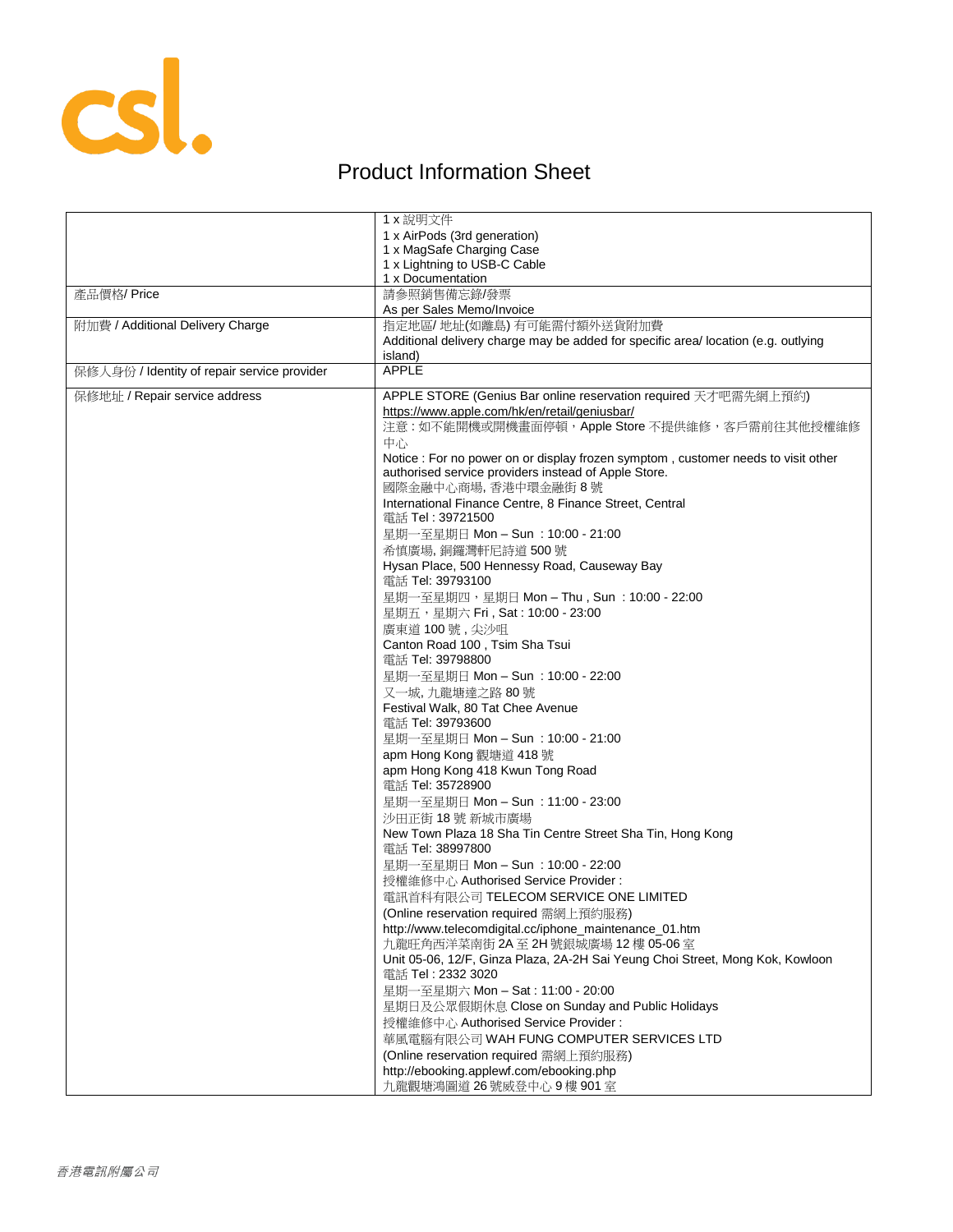

## Product Information Sheet

|                                             | 1 x 說明文件                                                                           |
|---------------------------------------------|------------------------------------------------------------------------------------|
|                                             | 1 x AirPods (3rd generation)                                                       |
|                                             | 1 x MagSafe Charging Case                                                          |
|                                             | 1 x Lightning to USB-C Cable                                                       |
|                                             | 1 x Documentation                                                                  |
| 產品價格/Price                                  | 請參照銷售備忘錄/發票                                                                        |
|                                             | As per Sales Memo/Invoice                                                          |
| 附加費 / Additional Delivery Charge            | 指定地區/地址(如離島)有可能需付額外送貨附加費                                                           |
|                                             | Additional delivery charge may be added for specific area/ location (e.g. outlying |
|                                             | island)                                                                            |
| 保修人身份 / Identity of repair service provider | <b>APPLE</b>                                                                       |
|                                             |                                                                                    |
| 保修地址 / Repair service address               | APPLE STORE (Genius Bar online reservation required 天才吧需先網上預約)                     |
|                                             | https://www.apple.com/hk/en/retail/geniusbar/                                      |
|                                             | 注意:如不能開機或開機畫面停頓, Apple Store 不提供維修, 客戶需前往其他授權維修                                    |
|                                             | 中心                                                                                 |
|                                             | Notice : For no power on or display frozen symptom, customer needs to visit other  |
|                                             | authorised service providers instead of Apple Store.                               |
|                                             | 國際金融中心商場, 香港中環金融街 8號                                                               |
|                                             | International Finance Centre, 8 Finance Street, Central                            |
|                                             | 電話 Tel: 39721500                                                                   |
|                                             | 星期一至星期日 Mon - Sun : 10:00 - 21:00                                                  |
|                                             | 希慎廣場,銅鑼灣軒尼詩道500號                                                                   |
|                                             | Hysan Place, 500 Hennessy Road, Causeway Bay                                       |
|                                             | 電話 Tel: 39793100                                                                   |
|                                             | 星期一至星期四,星期日 Mon - Thu, Sun: 10:00 - 22:00                                          |
|                                             | 星期五,星期六 Fri, Sat: 10:00 - 23:00                                                    |
|                                             | 廣東道100號,尖沙咀                                                                        |
|                                             | Canton Road 100, Tsim Sha Tsui                                                     |
|                                             | 電話 Tel: 39798800                                                                   |
|                                             | 星期一至星期日 Mon - Sun : 10:00 - 22:00                                                  |
|                                             | 又一城,九龍塘達之路 80號                                                                     |
|                                             | Festival Walk, 80 Tat Chee Avenue                                                  |
|                                             | 電話 Tel: 39793600                                                                   |
|                                             | 星期一至星期日 Mon - Sun : 10:00 - 21:00                                                  |
|                                             | apm Hong Kong 觀塘道 418 號                                                            |
|                                             | apm Hong Kong 418 Kwun Tong Road                                                   |
|                                             | 電話 Tel: 35728900                                                                   |
|                                             | 星期一至星期日 Mon - Sun : 11:00 - 23:00                                                  |
|                                             | 沙田正街 18號 新城市廣場                                                                     |
|                                             | New Town Plaza 18 Sha Tin Centre Street Sha Tin, Hong Kong                         |
|                                             | 電話 Tel: 38997800                                                                   |
|                                             | 星期一至星期日 Mon - Sun : 10:00 - 22:00                                                  |
|                                             | 授權維修中心 Authorised Service Provider:                                                |
|                                             | 電訊首科有限公司 TELECOM SERVICE ONE LIMITED                                               |
|                                             | (Online reservation required 需網上預約服務)                                              |
|                                             | http://www.telecomdigital.cc/iphone_maintenance_01.htm                             |
|                                             | 九龍旺角西洋菜南街 2A 至 2H 號銀城廣場 12 樓 05-06 室                                               |
|                                             | Unit 05-06, 12/F, Ginza Plaza, 2A-2H Sai Yeung Choi Street, Mong Kok, Kowloon      |
|                                             | 電話 Tel: 2332 3020                                                                  |
|                                             | 星期一至星期六 Mon - Sat: 11:00 - 20:00                                                   |
|                                             | 星期日及公眾假期休息 Close on Sunday and Public Holidays                                     |
|                                             | 授權維修中心 Authorised Service Provider:                                                |
|                                             |                                                                                    |
|                                             | 華風電腦有限公司 WAH FUNG COMPUTER SERVICES LTD                                            |
|                                             | (Online reservation required 需網上預約服務)                                              |
|                                             | http://ebooking.applewf.com/ebooking.php                                           |
|                                             | 九龍觀塘鴻圖道 26號威登中心9樓 901室                                                             |